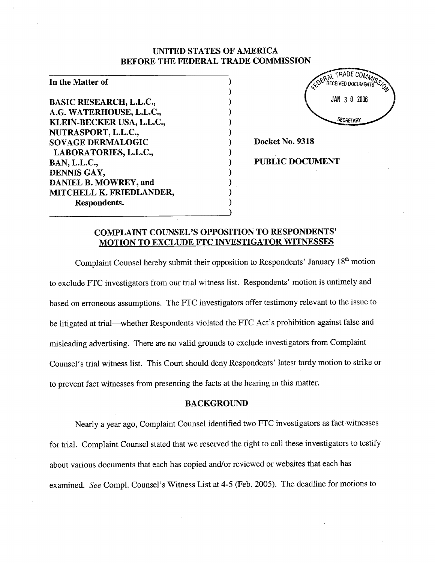## UNITED STATES OF AMERICA BEFORE THE FEDERAL TRADE COMMISSION

) ) ) ) ) ) ) ) ) ) ) ) )

## In the Matter of

BASIC RESEARCH, L.L.C., A.G. WATERHOUSE, L.L.C., KLEIN-BECKER USA, L.L.c., NUTRASPORT, L.L.C., SOVAGE DERMALOGIC LABORA TORIES, L.L.c., BAN, L.L.C., DENNIS GAY, DANIEL B. MOWREY, and MITCHELL K. FRIEDLANDER, Respondents.



PUBLIC DOCUMENT

## COMPLAINT COUNSEL'S OPPOSITION TO RESPONDENTS' MOTION TO EXCLUDE FTC INVESTIGATOR WITNESSES

Complaint Counsel hereby submit their opposition to Respondents' January 18<sup>th</sup> motion to exclude FTC investigators from our trial witness list. Respondents' motion is untimely and based on erroneous assumptions. The FTC investigators offer testimony relevant to the issue to be litigated at trial—whether Respondents violated the FTC Act's prohibition against false and misleading advertising. There are no valid grounds to exclude investigators from Complaint Counsel's trial witness list. This Court should deny Respondents' latest tardy motion to strike or to prevent fact witnesses from presenting the facts at the hearng in this matter.

## **BACKGROUND**

Nearly a year ago, Complaint Counsel identified two FTC investigators as fact witnesses for triaL. Complaint Counsel stated that we reserved the right to call these investigators to testify about various documents that each has copied and/or reviewed or websites that each has examined. See Compl. Counsel's Witness List at 4-5 (Feb. 2005). The deadline for motions to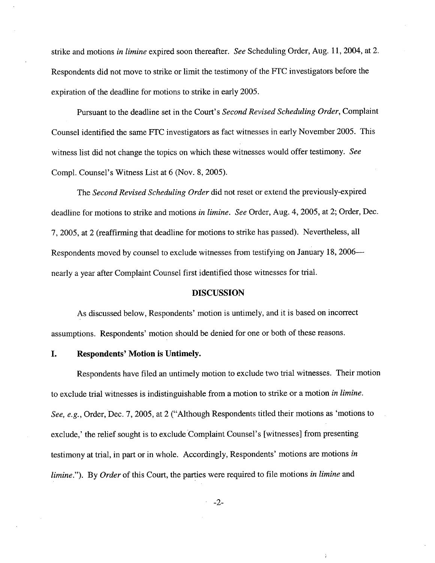strike and motions in limine expired soon thereafter. See Scheduling Order, Aug. 11, 2004, at 2. Respondents did not move to strike or limit the testimony of the FTC investigators before the expiration of the deadline for motions to strike in early 2005.

Pursuant to the deadline set in the Court's Second Revised Scheduling Order, Complaint Counsel identified the same FTC investigators as fact witnesses in early November 2005. This witness list did not change the topics on which these witnesses would offer testimony. See Compl. Counsel's Witness List at 6 (Nov. 8, 2005).

The Second Revised Scheduling Order did not reset or extend the previously-expired deadline for motions to strike and motions in limine. See Order, Aug. 4, 2005, at 2; Order, Dec. 7, 2005, at 2 (reaffirming that deadline for motions to strike has passed). Nevertheless, all Respondents moved by counsel to exclude witnesses from testifying on January 18, 2006 nearly a year after Complaint Counsel first identified those witnesses for triaL.

## DISCUSSION

As discussed below, Respondents' motion is untimely, and it is based on incorrect assumptions. Respondents' motion should be denied for one or both of these reasons.

## I. Respondents' Motion is Untimely.

Respondents have filed an untimely motion to exclude two trial witnesses. Their motion to exclude trial witnesses is indistinguishable from a motion to strike or a motion in limine. See, e.g., Order, Dec. 7, 2005, at 2 ("Although Respondents titled their motions as 'motions to exclude,' the relief sought is to exclude Complaint Counsel's (witnesses) from presenting testimony at trial, in part or in whole. Accordingly, Respondents' motions are motions in limine."). By Order of this Court, the parties were required to file motions in limine and

-2-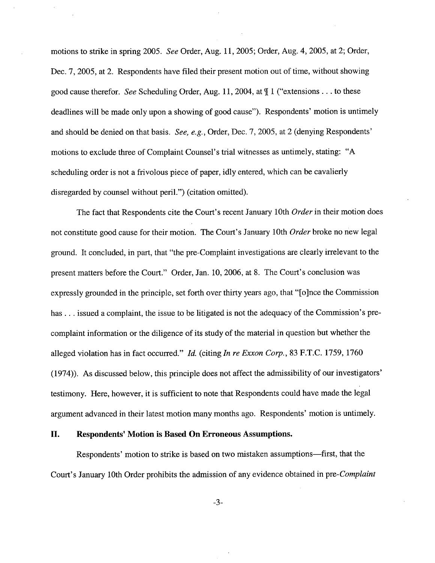motions to strike in spring 2005. See Order, Aug. 11,2005; Order, Aug. 4, 2005, at 2; Order, Dec. 7, 2005, at 2. Respondents have filed their present motion out of time, without showing good cause therefor. See Scheduling Order, Aug. 11, 2004, at  $\parallel$  1 ("extensions... to these deadlines will be made only upon a showing of good cause"). Respondents' motion is untimely and should be denied on that basis. See, e.g., Order, Dec. 7, 2005, at 2 (denying Respondents' motions to exclude three of Complaint Counsel's trial witnesses as untimely, stating: "A scheduling order is not a frivolous piece of paper, idly entered, which can be cavalierly disregarded by counsel without periL") (citation omitted).

The fact that Respondents cite the Court's recent January 10th Order in their motion does not constitute good cause for their motion. The Court's January 10th Order broke no new legal ground. It concluded, in part, that "the pre-Complaint investigations are clearly irrelevant to the present matters before the Court." Order, Jan. 10,2006, at 8. The Court's conclusion was expressly grounded in the principle, set forth over thirty years ago, that "(o)nce the Commission has... issued a complaint, the issue to be litigated is not the adequacy of the Commission's precomplaint information or the diligence of its study of the material in question but whether the alleged violation has in fact occurred." Id. (citing In re Exxon Corp., 83 F.T.C. 1759, 1760 (1974)). As discussed below, this principle does not affect the admissibility of our investigators' testimony. Here, however, it is sufficient to note that Respondents could have made the legal argument advanced in their latest motion many months ago. Respondents' motion is untimely.

## II. Respondents' Motion is Based On Erroneous Assumptions.

Respondents' motion to strike is based on two mistaken assumptions-first, that the Court's January 10th Order prohibits the admission of any evidence obtained in pre-Complaint

-3-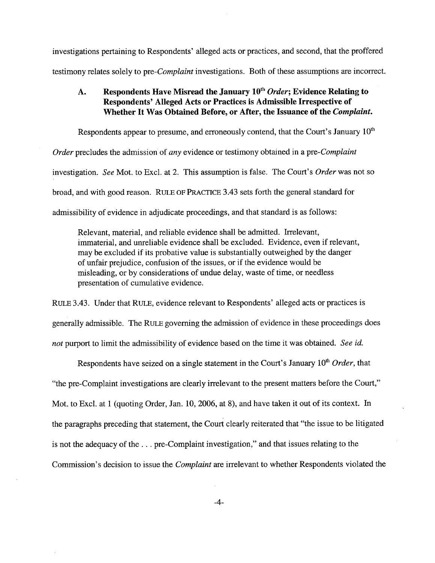investigations pertaining to Respondents' alleged acts or practices, and second, that the proffered testimony relates solely to pre-*Complaint* investigations. Both of these assumptions are incorrect.

## A. Respondents Have Misread the January  $10^{th}$  Order; Evidence Relating to Respondents' Alleged Acts or Practices is Admissible Irrespective of Whether It Was Obtained Before, or After, the Issuance of the Complaint.

Respondents appear to presume, and erroneously contend, that the Court's January  $10<sup>th</sup>$ Order precludes the admission of any evidence or testimony obtained in a pre-Complaint investigation. See Mot. to Excl. at 2. This assumption is false. The Court's Order was not so broad, and with good reason. RULE OF PRACTICE 3.43 sets forth the general standard for admissibility of evidence in adjudicate proceedings, and that standard is as follows:

Relevant, material, and reliable evidence shall be admitted. Irelevant, immaterial, and unreliable evidence shall be excluded. Evidence, even if relevant, may be excluded if its probative value is substantially outweighed by the danger of unfair prejudice, confusion of the issues, or if the evidence would be misleading, or by considerations of undue delay, waste of time, or needless presentation of cumulative evidence.

RULE 3.43. Under that RULE, evidence relevant to Respondents' alleged acts or practices is generally admissible. The RULE governing the admssion of evidence in these proceedings does not purport to limit the admissibility of evidence based on the time it was obtained. See id.

Respondents have seized on a single statement in the Court's January  $10<sup>th</sup> Order$ , that "the pre-Complaint investigations are clearly irrelevant to the present matters before the Court," Mot. to Excl. at 1 (quoting Order, Jan. 10,2006, at 8), and have taken it out of its context. In the paragraphs preceding that statement, the Court clearly reiterated that "the issue to be litigated is not the adequacy of the. . . pre-Complaint investigation," and that issues relating to the Commission's decision to issue the *Complaint* are irrelevant to whether Respondents violated the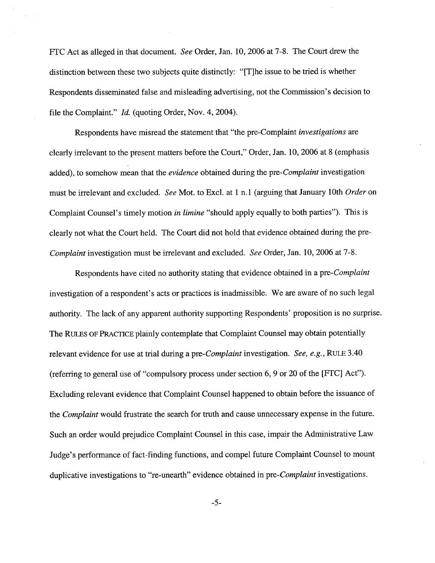FTC Act as alleged in that document. See Order, Jan. 10,2006 at 7-8. The Court drew the distinction between these two subjects quite distinctly: "(T)he issue to be tried is whether Respondents disseminated false and misleading advertising, not the Commssion's decision to file the Complaint."  $Id.$  (quoting Order, Nov. 4, 2004).

Respondents have misread the statement that "the pre-Complaint investigations are clearly irrelevant to the present matters before the Court," Order, Jan. 10,2006 at 8 (emphasis added), to somehow mean that the evidence obtained during the pre-Complaint investigation must be irrelevant and excluded. See Mot. to Excl. at 1 n.1 (arguing that January 10th Order on Complaint Counsel's timely motion in limine "should apply equally to both parties"). This is clearly not what the Court held. The Court did not hold that evidence obtained during the pre-Complaint investigation must be irrelevant and excluded. See Order, Jan. 10, 2006 at 7-8.

Respondents have cited no authority stating that evidence obtained in a pre-Complaint investigation of a respondent's acts or practices is inadmissible. We are aware of no such legal authority. The lack of any apparent authority supporting Respondents' proposition is no surprise. The RULES OF PRACTICE plainly contemplate that Complaint Counsel may obtain potentially relevant evidence for use at trial during a pre-*Complaint* investigation. See, e.g., RULE 3.40 (referrng to general use of "compulsory process under section 6, 9 or 20 of the (FTC) Act"). Excluding relevant evidence that Complaint Counsel happened to obtain before the issuance of the *Complaint* would frustrate the search for truth and cause unnecessary expense in the future. Such an order would prejudice Complaint Counsel in this case, impair the Administrative Law Judge's performance of fact-finding functions, and compel future Complaint Counsel to mount duplicative investigations to "re-unearth" evidence obtained in pre-*Complaint* investigations.

-5-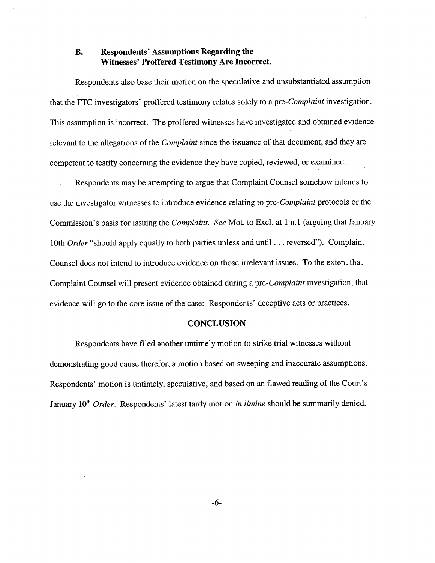## B. Respondents' Assumptions Regarding the Witnesses' Proffered Testimony Are Incorrect.

Respondents also base their motion on the speculative and unsubstantiated assumption that the FTC investigators' proffered testimony relates solely to a pre-Complaint investigation. This assumption is incorrect. The proffered witnesses have investigated and obtained evidence relevant to the allegations of the *Complaint* since the issuance of that document, and they are competent to testify concerning the evidence they have copied, reviewed, or examined.

Respondents may be attempting to argue that Complaint Counsel somehow intends to use the investigator witnesses to introduce evidence relating to pre-Complaint protocols or the Commission's basis for issuing the *Complaint.* See Mot. to Excl. at 1 n.1 (arguing that January 10th Order "should apply equally to both parties unless and until . . . reversed"). Complaint Counsel does not intend to introduce evidence on those irrelevant issues. To the extent that Complaint Counsel will present evidence obtained during a pre-Complaint investigation, that evidence will go to the core issue of the case: Respondents' deceptive acts or practices.

#### **CONCLUSION**

Respondents have filed another untimely motion to strike trial witnesses without demonstrating good cause therefor, a motion based on sweeping and inaccurate assumptions. Respondents' motion is untimely, speculative, and based on an flawed reading of the Court's January  $10<sup>th</sup> Order$ . Respondents' latest tardy motion in limine should be summarily denied.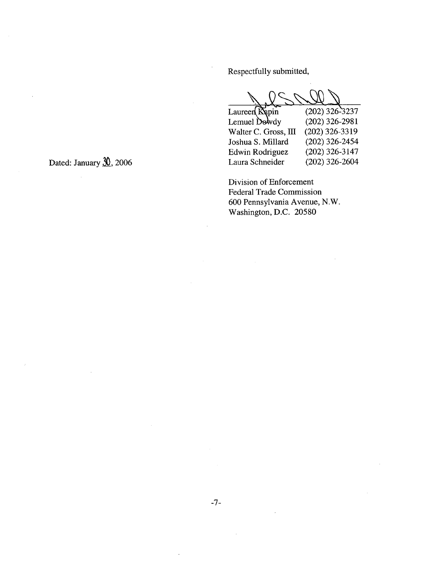Respectfully submitted,

Laureen Repin Lemuel Dowdy Walter C. Gross, III Joshua S. Millard Edwin Rodriguez Laura Schneider  $(202)$  326-3237 (202) 326-2981 (202) 326-3319 (202) 326-2454 (202) 326-3147 (202) 326-2604

Division of Enforcement Federal Trade Commission 600 Pennsylvania Avenue, N.W. Washington, D.C. 20580

Dated: January  $\mathcal{X}$ , 2006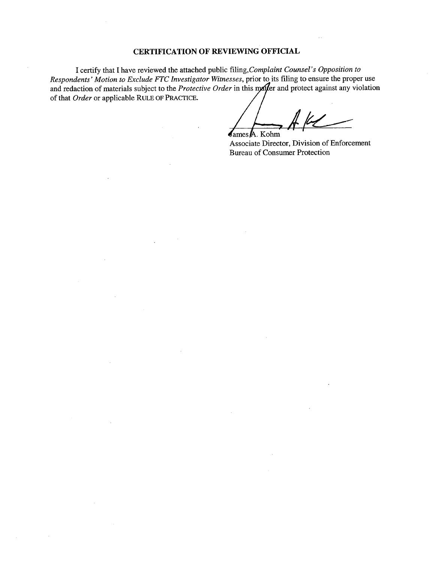## CERTIFICATION OF REVIEWING OFFICIAL

I certify that I have reviewed the attached public fiing, Complaint Counsel's Opposition to Respondents' Motion to Exclude FTC Investigator Witnesses, prior to its filing to ensure the proper use and redaction of materials subject to the *Protective Order* in this may be and protect against any violation of that Order or applicable RULE OF PRACTICE.

ames !L. Kohm

Associate Director, Division of Enforcement Bureau of Consumer Protection